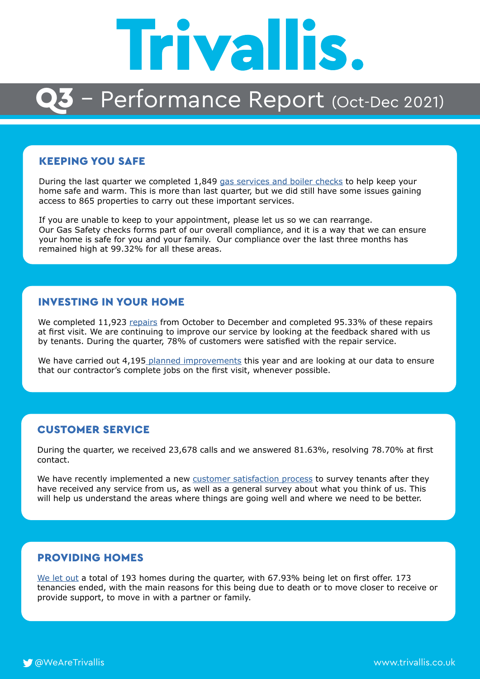

## - Performance Report (Oct-Dec 2021)

### KEEPING YOU SAFE

During the last quarter we completed 1,849 [gas services and boiler checks](https://www.trivallis.co.uk/en/gas-safety/) to help keep your home safe and warm. This is more than last quarter, but we did still have some issues gaining access to 865 properties to carry out these important services.

If you are unable to keep to your appointment, please let us so we can rearrange. Our Gas Safety checks forms part of our overall compliance, and it is a way that we can ensure your home is safe for you and your family. Our compliance over the last three months has remained high at 99.32% for all these areas.

#### INVESTING IN YOUR HOME

We completed 11,923 [repairs](https://www.trivallis.co.uk/en/report-a-repair/) from October to December and completed 95.33% of these repairs at first visit. We are continuing to improve our service by looking at the feedback shared with us by tenants. During the quarter, 78% of customers were satisfied with the repair service.

We have carried out 4,195 [planned improvements](https://www.trivallis.co.uk/en/planned-improvements/) this year and are looking at our data to ensure that our contractor's complete jobs on the first visit, whenever possible.

### CUSTOMER SERVICE

During the quarter, we received 23,678 calls and we answered 81.63%, resolving 78.70% at first contact.

We have recently implemented a new [customer satisfaction process](https://www.trivallis.co.uk/en/2021/08/06/tell-us-how-we-are-doing/) to survey tenants after they have received any service from us, as well as a general survey about what you think of us. This will help us understand the areas where things are going well and where we need to be better.

## PROVIDING HOMES

[We let out](https://www.trivallis.co.uk/en/lettings/) a total of 193 homes during the quarter, with 67.93% being let on first offer. 173 tenancies ended, with the main reasons for this being due to death or to move closer to receive or provide support, to move in with a partner or family.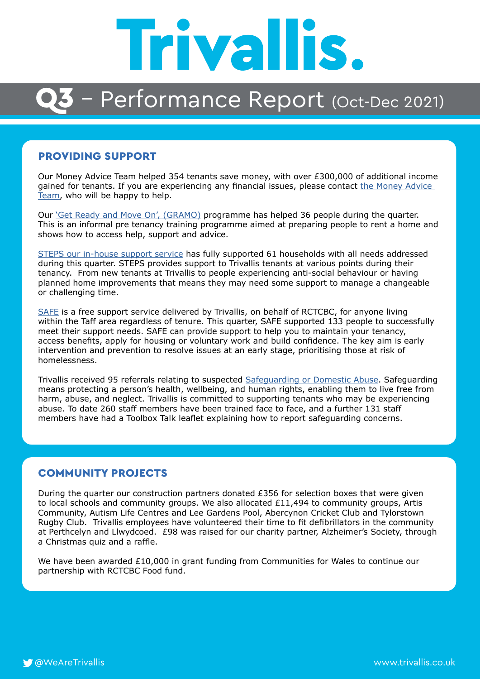# **Trivallis.**

## - Performance Report (Oct-Dec 2021)

#### PROVIDING SUPPORT

Our Money Advice Team helped 354 tenants save money, with over £300,000 of additional income gained for tenants. If you are experiencing any financial issues, please contact the Money Advice [Team](https://www.trivallis.co.uk/en/money-advice-team/), who will be happy to help.

Our *'Get Ready and Move On', (GRAMO)* programme has helped 36 people during the quarter. This is an informal pre tenancy training programme aimed at preparing people to rent a home and shows how to access help, support and advice.

[STEPS our in-house support service](https://www.trivallis.co.uk/en/steps/) has fully supported 61 households with all needs addressed during this quarter. STEPS provides support to Trivallis tenants at various points during their tenancy. From new tenants at Trivallis to people experiencing anti-social behaviour or having planned home improvements that means they may need some support to manage a changeable or challenging time.

[SAFE](https://www.trivallis.co.uk/en/safe/) is a free support service delivered by Trivallis, on behalf of RCTCBC, for anyone living within the Taff area regardless of tenure. This quarter, SAFE supported 133 people to successfully meet their support needs. SAFE can provide support to help you to maintain your tenancy, access benefits, apply for housing or voluntary work and build confidence. The key aim is early intervention and prevention to resolve issues at an early stage, prioritising those at risk of homelessness.

Trivallis received 95 referrals relating to suspected [Safeguarding or Domestic Abuse](https://www.trivallis.co.uk/en/domestic-abuse/). Safeguarding means protecting a person's health, wellbeing, and human rights, enabling them to live free from harm, abuse, and neglect. Trivallis is committed to supporting tenants who may be experiencing abuse. To date 260 staff members have been trained face to face, and a further 131 staff members have had a Toolbox Talk leaflet explaining how to report safeguarding concerns.

#### COMMUNITY PROJECTS

During the quarter our construction partners donated £356 for selection boxes that were given to local schools and community groups. We also allocated £11,494 to community groups, Artis Community, Autism Life Centres and Lee Gardens Pool, Abercynon Cricket Club and Tylorstown Rugby Club. Trivallis employees have volunteered their time to fit defibrillators in the community at Perthcelyn and Llwydcoed. £98 was raised for our charity partner, Alzheimer's Society, through a Christmas quiz and a raffle.

We have been awarded  $£10,000$  in grant funding from Communities for Wales to continue our partnership with RCTCBC Food fund.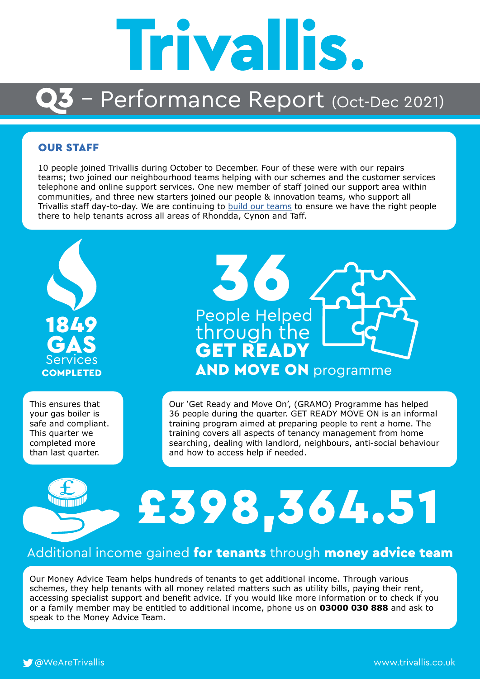

## Performance Report (Oct-Dec 2021)

#### OUR STAFF

10 people joined Trivallis during October to December. Four of these were with our repairs teams; two joined our neighbourhood teams helping with our schemes and the customer services telephone and online support services. One new member of staff joined our support area within communities, and three new starters joined our people & innovation teams, who support all Trivallis staff day-to-day. We are continuing to [build our teams](https://www.trivallis.co.uk/en/jobs/) to ensure we have the right people there to help tenants across all areas of Rhondda, Cynon and Taff.



This ensures that your gas boiler is safe and compliant. This quarter we completed more than last quarter.



Our 'Get Ready and Move On', (GRAMO) Programme has helped 36 people during the quarter. GET READY MOVE ON is an informal training program aimed at preparing people to rent a home. The training covers all aspects of tenancy management from home searching, dealing with landlord, neighbours, anti-social behaviour and how to access help if needed.

## £398,364.51

## Additional income gained for tenants through money advice team

Our Money Advice Team helps hundreds of tenants to get additional income. Through various schemes, they help tenants with all money related matters such as utility bills, paying their rent, accessing specialist support and benefit advice. If you would like more information or to check if you or a family member may be entitled to additional income, phone us on **03000 030 888** and ask to speak to the Money Advice Team.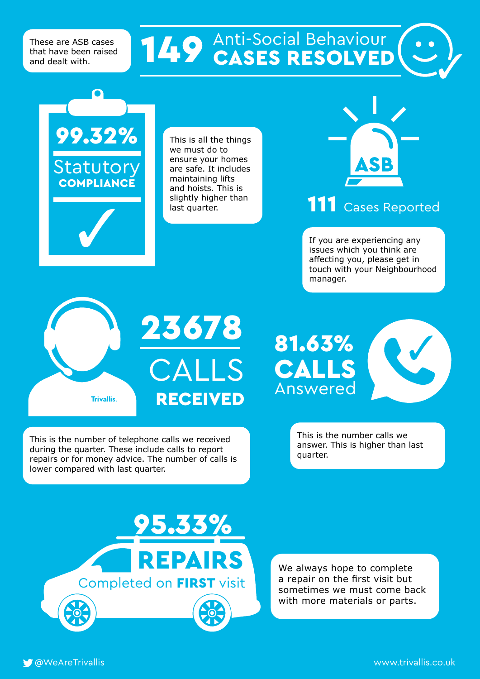These are ASB cases that have been raised and dealt with.

## **149** Anti-Social Behaviour

### 23678 81.63% If you are experiencing any issues which you think are affecting you, please get in touch with your Neighbourhood manager. 111 Cases Reported This is all the things we must do to ensure your homes are safe. It includes maintaining lifts and hoists. This is slightly higher than last quarter. 99.32% **Statutory COMPLIANCE**

**Trivallis.** 

CALLS **RECEIVED** 

This is the number of telephone calls we received during the quarter. These include calls to report repairs or for money advice. The number of calls is lower compared with last quarter.



This is the number calls we answer. This is higher than last quarter.

95.33% EPAIRS Completed on FIRST visit

We always hope to complete a repair on the first visit but sometimes we must come back with more materials or parts.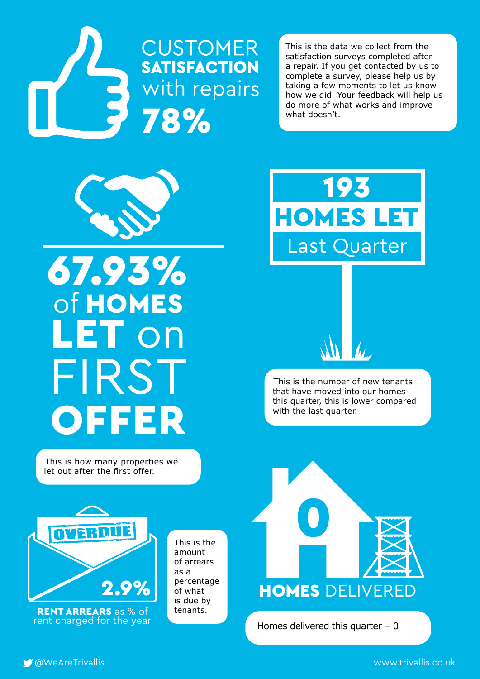# **CUSTOMER**<br>SATISFACTION **3** with repairs

This is the data we collect from the satisfaction surveys completed after a repair. If you get contacted by us to complete a survey, please help us by taking a few moments to let us know how we did. Your feedback will help us do more of what works and improve what doesn't.



## 67.93% of HOMES LET on FIRST **OFFER**

This is how many properties we let out after the first offer.



This is the number of new tenants that have moved into our homes this quarter, this is lower compared with the last quarter.



RENT ARREARS as % of tenants. rent charged for the year

This is the amount of arrears as a percentage of what is due by



Homes delivered this quarter  $-0$